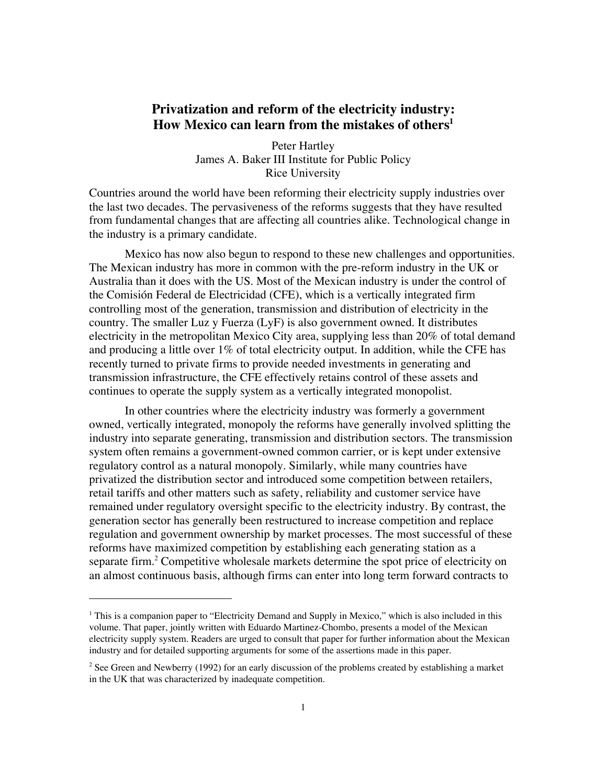# **Privatization and reform of the electricity industry: How Mexico can learn from the mistakes of others1**

Peter Hartley James A. Baker III Institute for Public Policy Rice University

Countries around the world have been reforming their electricity supply industries over the last two decades. The pervasiveness of the reforms suggests that they have resulted from fundamental changes that are affecting all countries alike. Technological change in the industry is a primary candidate.

Mexico has now also begun to respond to these new challenges and opportunities. The Mexican industry has more in common with the pre-reform industry in the UK or Australia than it does with the US. Most of the Mexican industry is under the control of the Comisión Federal de Electricidad (CFE), which is a vertically integrated firm controlling most of the generation, transmission and distribution of electricity in the country. The smaller Luz y Fuerza (LyF) is also government owned. It distributes electricity in the metropolitan Mexico City area, supplying less than 20% of total demand and producing a little over 1% of total electricity output. In addition, while the CFE has recently turned to private firms to provide needed investments in generating and transmission infrastructure, the CFE effectively retains control of these assets and continues to operate the supply system as a vertically integrated monopolist.

In other countries where the electricity industry was formerly a government owned, vertically integrated, monopoly the reforms have generally involved splitting the industry into separate generating, transmission and distribution sectors. The transmission system often remains a government-owned common carrier, or is kept under extensive regulatory control as a natural monopoly. Similarly, while many countries have privatized the distribution sector and introduced some competition between retailers, retail tariffs and other matters such as safety, reliability and customer service have remained under regulatory oversight specific to the electricity industry. By contrast, the generation sector has generally been restructured to increase competition and replace regulation and government ownership by market processes. The most successful of these reforms have maximized competition by establishing each generating station as a separate firm.<sup>2</sup> Competitive wholesale markets determine the spot price of electricity on an almost continuous basis, although firms can enter into long term forward contracts to

<sup>&</sup>lt;sup>1</sup> This is a companion paper to "Electricity Demand and Supply in Mexico," which is also included in this volume. That paper, jointly written with Eduardo Martinez-Chombo, presents a model of the Mexican electricity supply system. Readers are urged to consult that paper for further information about the Mexican industry and for detailed supporting arguments for some of the assertions made in this paper.

<sup>&</sup>lt;sup>2</sup> See Green and Newberry (1992) for an early discussion of the problems created by establishing a market in the UK that was characterized by inadequate competition.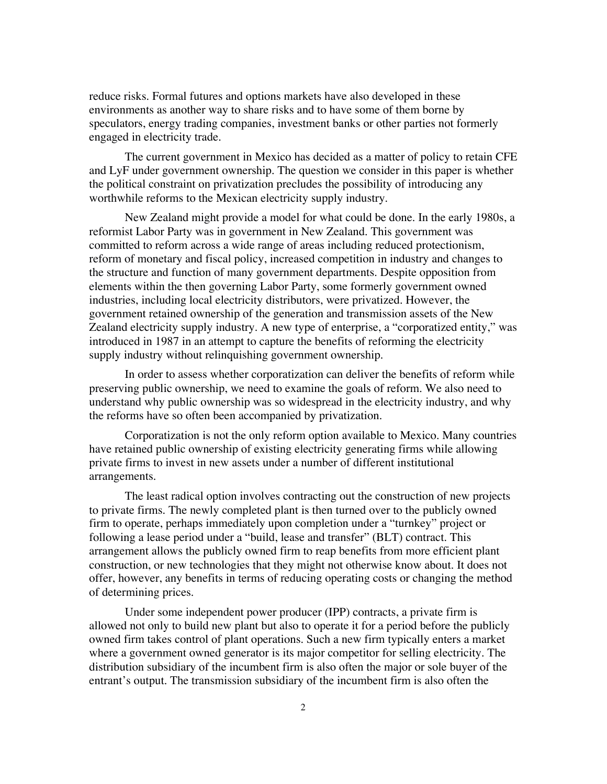reduce risks. Formal futures and options markets have also developed in these environments as another way to share risks and to have some of them borne by speculators, energy trading companies, investment banks or other parties not formerly engaged in electricity trade.

The current government in Mexico has decided as a matter of policy to retain CFE and LyF under government ownership. The question we consider in this paper is whether the political constraint on privatization precludes the possibility of introducing any worthwhile reforms to the Mexican electricity supply industry.

New Zealand might provide a model for what could be done. In the early 1980s, a reformist Labor Party was in government in New Zealand. This government was committed to reform across a wide range of areas including reduced protectionism, reform of monetary and fiscal policy, increased competition in industry and changes to the structure and function of many government departments. Despite opposition from elements within the then governing Labor Party, some formerly government owned industries, including local electricity distributors, were privatized. However, the government retained ownership of the generation and transmission assets of the New Zealand electricity supply industry. A new type of enterprise, a "corporatized entity," was introduced in 1987 in an attempt to capture the benefits of reforming the electricity supply industry without relinquishing government ownership.

In order to assess whether corporatization can deliver the benefits of reform while preserving public ownership, we need to examine the goals of reform. We also need to understand why public ownership was so widespread in the electricity industry, and why the reforms have so often been accompanied by privatization.

Corporatization is not the only reform option available to Mexico. Many countries have retained public ownership of existing electricity generating firms while allowing private firms to invest in new assets under a number of different institutional arrangements.

The least radical option involves contracting out the construction of new projects to private firms. The newly completed plant is then turned over to the publicly owned firm to operate, perhaps immediately upon completion under a "turnkey" project or following a lease period under a "build, lease and transfer" (BLT) contract. This arrangement allows the publicly owned firm to reap benefits from more efficient plant construction, or new technologies that they might not otherwise know about. It does not offer, however, any benefits in terms of reducing operating costs or changing the method of determining prices.

Under some independent power producer (IPP) contracts, a private firm is allowed not only to build new plant but also to operate it for a period before the publicly owned firm takes control of plant operations. Such a new firm typically enters a market where a government owned generator is its major competitor for selling electricity. The distribution subsidiary of the incumbent firm is also often the major or sole buyer of the entrant's output. The transmission subsidiary of the incumbent firm is also often the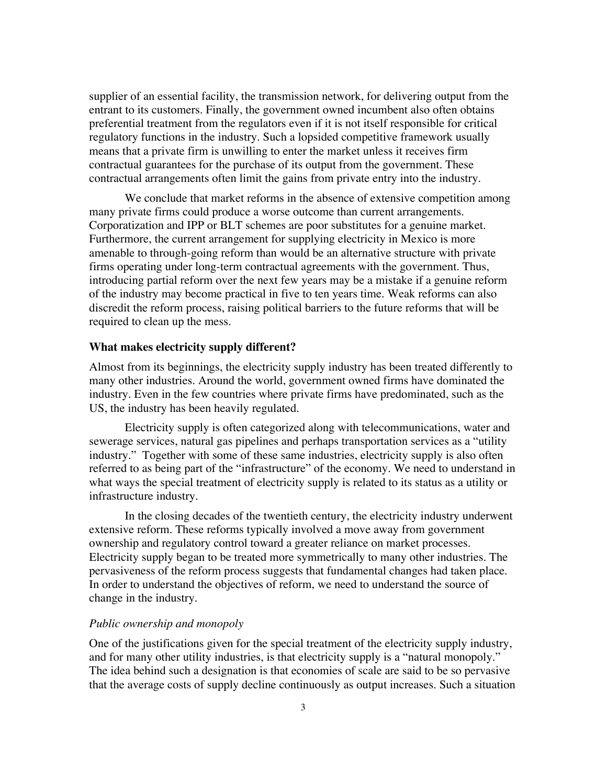supplier of an essential facility, the transmission network, for delivering output from the entrant to its customers. Finally, the government owned incumbent also often obtains preferential treatment from the regulators even if it is not itself responsible for critical regulatory functions in the industry. Such a lopsided competitive framework usually means that a private firm is unwilling to enter the market unless it receives firm contractual guarantees for the purchase of its output from the government. These contractual arrangements often limit the gains from private entry into the industry.

We conclude that market reforms in the absence of extensive competition among many private firms could produce a worse outcome than current arrangements. Corporatization and IPP or BLT schemes are poor substitutes for a genuine market. Furthermore, the current arrangement for supplying electricity in Mexico is more amenable to through-going reform than would be an alternative structure with private firms operating under long-term contractual agreements with the government. Thus, introducing partial reform over the next few years may be a mistake if a genuine reform of the industry may become practical in five to ten years time. Weak reforms can also discredit the reform process, raising political barriers to the future reforms that will be required to clean up the mess.

#### **What makes electricity supply different?**

Almost from its beginnings, the electricity supply industry has been treated differently to many other industries. Around the world, government owned firms have dominated the industry. Even in the few countries where private firms have predominated, such as the US, the industry has been heavily regulated.

Electricity supply is often categorized along with telecommunications, water and sewerage services, natural gas pipelines and perhaps transportation services as a "utility industry." Together with some of these same industries, electricity supply is also often referred to as being part of the "infrastructure" of the economy. We need to understand in what ways the special treatment of electricity supply is related to its status as a utility or infrastructure industry.

In the closing decades of the twentieth century, the electricity industry underwent extensive reform. These reforms typically involved a move away from government ownership and regulatory control toward a greater reliance on market processes. Electricity supply began to be treated more symmetrically to many other industries. The pervasiveness of the reform process suggests that fundamental changes had taken place. In order to understand the objectives of reform, we need to understand the source of change in the industry.

### *Public ownership and monopoly*

One of the justifications given for the special treatment of the electricity supply industry, and for many other utility industries, is that electricity supply is a "natural monopoly." The idea behind such a designation is that economies of scale are said to be so pervasive that the average costs of supply decline continuously as output increases. Such a situation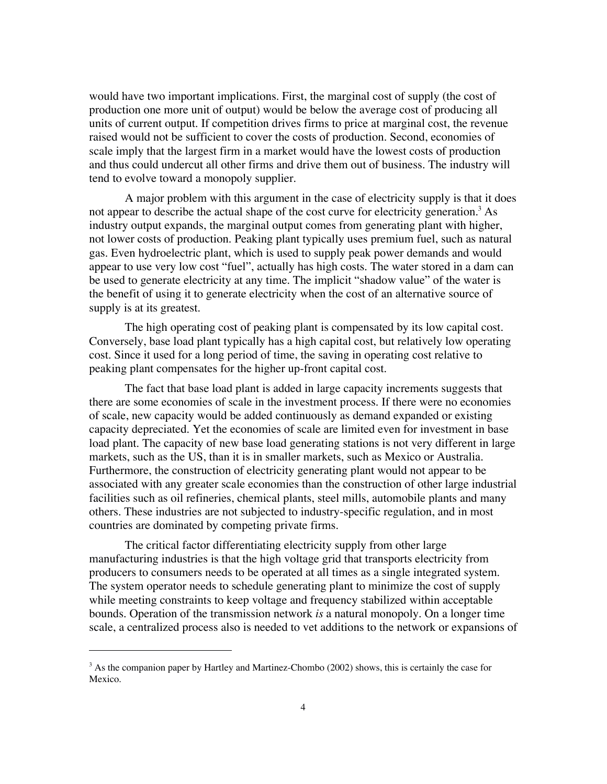would have two important implications. First, the marginal cost of supply (the cost of production one more unit of output) would be below the average cost of producing all units of current output. If competition drives firms to price at marginal cost, the revenue raised would not be sufficient to cover the costs of production. Second, economies of scale imply that the largest firm in a market would have the lowest costs of production and thus could undercut all other firms and drive them out of business. The industry will tend to evolve toward a monopoly supplier.

A major problem with this argument in the case of electricity supply is that it does not appear to describe the actual shape of the cost curve for electricity generation.<sup>3</sup> As industry output expands, the marginal output comes from generating plant with higher, not lower costs of production. Peaking plant typically uses premium fuel, such as natural gas. Even hydroelectric plant, which is used to supply peak power demands and would appear to use very low cost "fuel", actually has high costs. The water stored in a dam can be used to generate electricity at any time. The implicit "shadow value" of the water is the benefit of using it to generate electricity when the cost of an alternative source of supply is at its greatest.

The high operating cost of peaking plant is compensated by its low capital cost. Conversely, base load plant typically has a high capital cost, but relatively low operating cost. Since it used for a long period of time, the saving in operating cost relative to peaking plant compensates for the higher up-front capital cost.

The fact that base load plant is added in large capacity increments suggests that there are some economies of scale in the investment process. If there were no economies of scale, new capacity would be added continuously as demand expanded or existing capacity depreciated. Yet the economies of scale are limited even for investment in base load plant. The capacity of new base load generating stations is not very different in large markets, such as the US, than it is in smaller markets, such as Mexico or Australia. Furthermore, the construction of electricity generating plant would not appear to be associated with any greater scale economies than the construction of other large industrial facilities such as oil refineries, chemical plants, steel mills, automobile plants and many others. These industries are not subjected to industry-specific regulation, and in most countries are dominated by competing private firms.

The critical factor differentiating electricity supply from other large manufacturing industries is that the high voltage grid that transports electricity from producers to consumers needs to be operated at all times as a single integrated system. The system operator needs to schedule generating plant to minimize the cost of supply while meeting constraints to keep voltage and frequency stabilized within acceptable bounds. Operation of the transmission network *is* a natural monopoly. On a longer time scale, a centralized process also is needed to vet additions to the network or expansions of

<sup>&</sup>lt;sup>3</sup> As the companion paper by Hartley and Martinez-Chombo (2002) shows, this is certainly the case for Mexico.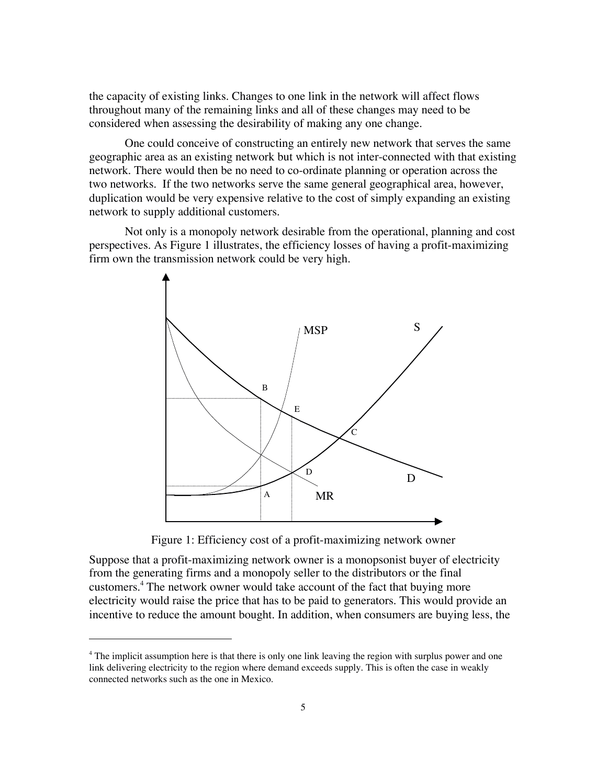the capacity of existing links. Changes to one link in the network will affect flows throughout many of the remaining links and all of these changes may need to be considered when assessing the desirability of making any one change.

One could conceive of constructing an entirely new network that serves the same geographic area as an existing network but which is not inter-connected with that existing network. There would then be no need to co-ordinate planning or operation across the two networks. If the two networks serve the same general geographical area, however, duplication would be very expensive relative to the cost of simply expanding an existing network to supply additional customers.

Not only is a monopoly network desirable from the operational, planning and cost perspectives. As Figure 1 illustrates, the efficiency losses of having a profit-maximizing firm own the transmission network could be very high.



Figure 1: Efficiency cost of a profit-maximizing network owner

Suppose that a profit-maximizing network owner is a monopsonist buyer of electricity from the generating firms and a monopoly seller to the distributors or the final customers.<sup>4</sup> The network owner would take account of the fact that buying more electricity would raise the price that has to be paid to generators. This would provide an incentive to reduce the amount bought. In addition, when consumers are buying less, the

<sup>&</sup>lt;sup>4</sup> The implicit assumption here is that there is only one link leaving the region with surplus power and one link delivering electricity to the region where demand exceeds supply. This is often the case in weakly connected networks such as the one in Mexico.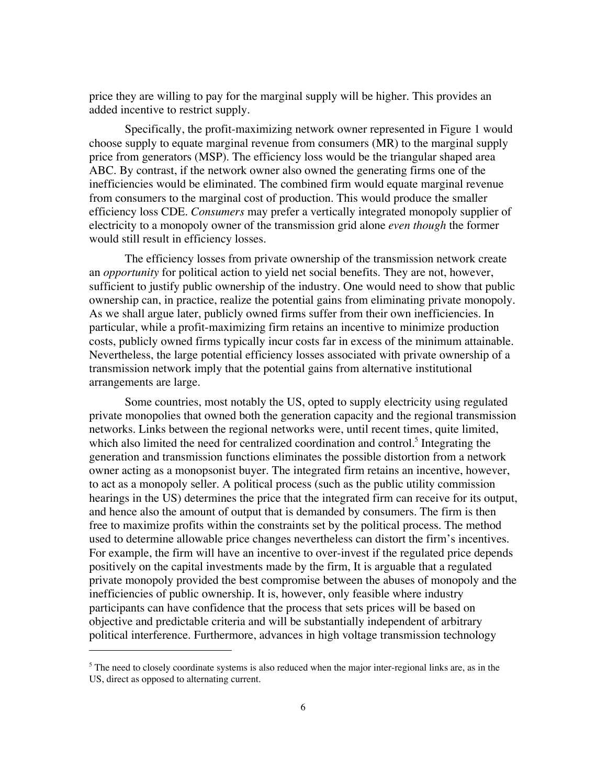price they are willing to pay for the marginal supply will be higher. This provides an added incentive to restrict supply.

Specifically, the profit-maximizing network owner represented in Figure 1 would choose supply to equate marginal revenue from consumers (MR) to the marginal supply price from generators (MSP). The efficiency loss would be the triangular shaped area ABC. By contrast, if the network owner also owned the generating firms one of the inefficiencies would be eliminated. The combined firm would equate marginal revenue from consumers to the marginal cost of production. This would produce the smaller efficiency loss CDE. *Consumers* may prefer a vertically integrated monopoly supplier of electricity to a monopoly owner of the transmission grid alone *even though* the former would still result in efficiency losses.

The efficiency losses from private ownership of the transmission network create an *opportunity* for political action to yield net social benefits. They are not, however, sufficient to justify public ownership of the industry. One would need to show that public ownership can, in practice, realize the potential gains from eliminating private monopoly. As we shall argue later, publicly owned firms suffer from their own inefficiencies. In particular, while a profit-maximizing firm retains an incentive to minimize production costs, publicly owned firms typically incur costs far in excess of the minimum attainable. Nevertheless, the large potential efficiency losses associated with private ownership of a transmission network imply that the potential gains from alternative institutional arrangements are large.

Some countries, most notably the US, opted to supply electricity using regulated private monopolies that owned both the generation capacity and the regional transmission networks. Links between the regional networks were, until recent times, quite limited, which also limited the need for centralized coordination and control.<sup>5</sup> Integrating the generation and transmission functions eliminates the possible distortion from a network owner acting as a monopsonist buyer. The integrated firm retains an incentive, however, to act as a monopoly seller. A political process (such as the public utility commission hearings in the US) determines the price that the integrated firm can receive for its output, and hence also the amount of output that is demanded by consumers. The firm is then free to maximize profits within the constraints set by the political process. The method used to determine allowable price changes nevertheless can distort the firm's incentives. For example, the firm will have an incentive to over-invest if the regulated price depends positively on the capital investments made by the firm, It is arguable that a regulated private monopoly provided the best compromise between the abuses of monopoly and the inefficiencies of public ownership. It is, however, only feasible where industry participants can have confidence that the process that sets prices will be based on objective and predictable criteria and will be substantially independent of arbitrary political interference. Furthermore, advances in high voltage transmission technology

<sup>&</sup>lt;sup>5</sup> The need to closely coordinate systems is also reduced when the major inter-regional links are, as in the US, direct as opposed to alternating current.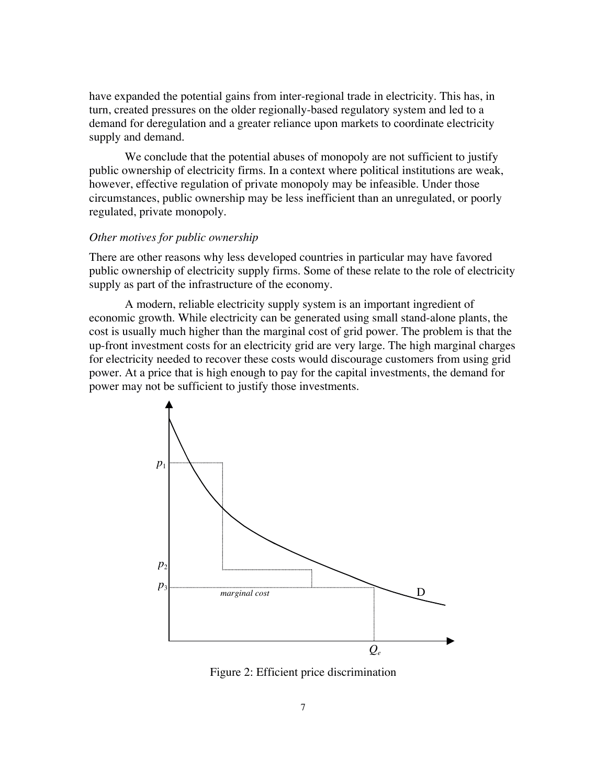have expanded the potential gains from inter-regional trade in electricity. This has, in turn, created pressures on the older regionally-based regulatory system and led to a demand for deregulation and a greater reliance upon markets to coordinate electricity supply and demand.

We conclude that the potential abuses of monopoly are not sufficient to justify public ownership of electricity firms. In a context where political institutions are weak, however, effective regulation of private monopoly may be infeasible. Under those circumstances, public ownership may be less inefficient than an unregulated, or poorly regulated, private monopoly.

#### *Other motives for public ownership*

There are other reasons why less developed countries in particular may have favored public ownership of electricity supply firms. Some of these relate to the role of electricity supply as part of the infrastructure of the economy.

A modern, reliable electricity supply system is an important ingredient of economic growth. While electricity can be generated using small stand-alone plants, the cost is usually much higher than the marginal cost of grid power. The problem is that the up-front investment costs for an electricity grid are very large. The high marginal charges for electricity needed to recover these costs would discourage customers from using grid power. At a price that is high enough to pay for the capital investments, the demand for power may not be sufficient to justify those investments.



Figure 2: Efficient price discrimination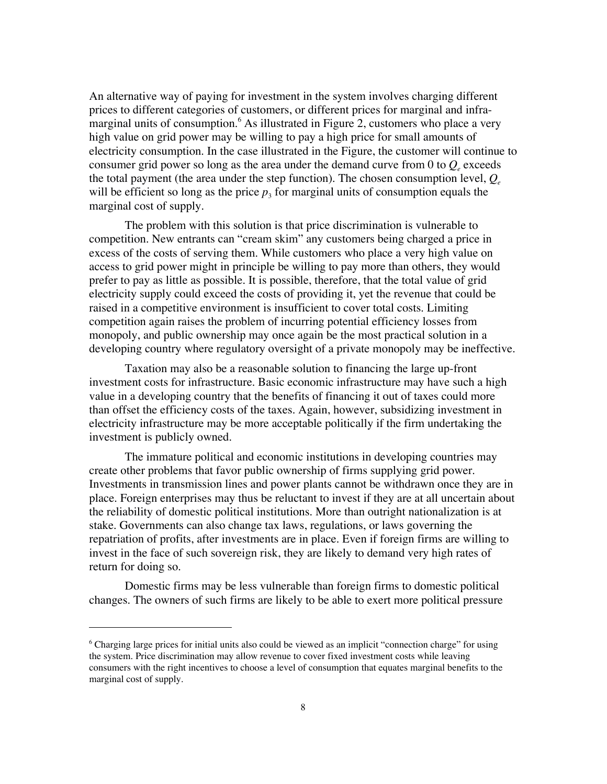An alternative way of paying for investment in the system involves charging different prices to different categories of customers, or different prices for marginal and inframarginal units of consumption.<sup>6</sup> As illustrated in Figure 2, customers who place a very high value on grid power may be willing to pay a high price for small amounts of electricity consumption. In the case illustrated in the Figure, the customer will continue to consumer grid power so long as the area under the demand curve from  $0$  to  $Q_{e}$  exceeds the total payment (the area under the step function). The chosen consumption level,  $Q_e$ will be efficient so long as the price  $p_3$  for marginal units of consumption equals the marginal cost of supply.

The problem with this solution is that price discrimination is vulnerable to competition. New entrants can "cream skim" any customers being charged a price in excess of the costs of serving them. While customers who place a very high value on access to grid power might in principle be willing to pay more than others, they would prefer to pay as little as possible. It is possible, therefore, that the total value of grid electricity supply could exceed the costs of providing it, yet the revenue that could be raised in a competitive environment is insufficient to cover total costs. Limiting competition again raises the problem of incurring potential efficiency losses from monopoly, and public ownership may once again be the most practical solution in a developing country where regulatory oversight of a private monopoly may be ineffective.

Taxation may also be a reasonable solution to financing the large up-front investment costs for infrastructure. Basic economic infrastructure may have such a high value in a developing country that the benefits of financing it out of taxes could more than offset the efficiency costs of the taxes. Again, however, subsidizing investment in electricity infrastructure may be more acceptable politically if the firm undertaking the investment is publicly owned.

The immature political and economic institutions in developing countries may create other problems that favor public ownership of firms supplying grid power. Investments in transmission lines and power plants cannot be withdrawn once they are in place. Foreign enterprises may thus be reluctant to invest if they are at all uncertain about the reliability of domestic political institutions. More than outright nationalization is at stake. Governments can also change tax laws, regulations, or laws governing the repatriation of profits, after investments are in place. Even if foreign firms are willing to invest in the face of such sovereign risk, they are likely to demand very high rates of return for doing so.

Domestic firms may be less vulnerable than foreign firms to domestic political changes. The owners of such firms are likely to be able to exert more political pressure

<sup>&</sup>lt;sup>6</sup> Charging large prices for initial units also could be viewed as an implicit "connection charge" for using the system. Price discrimination may allow revenue to cover fixed investment costs while leaving consumers with the right incentives to choose a level of consumption that equates marginal benefits to the marginal cost of supply.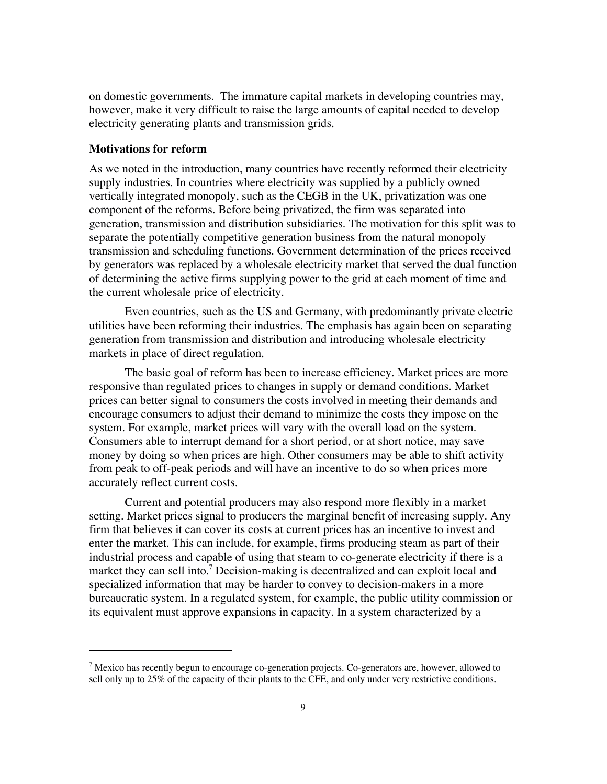on domestic governments. The immature capital markets in developing countries may, however, make it very difficult to raise the large amounts of capital needed to develop electricity generating plants and transmission grids.

# **Motivations for reform**

 $\overline{a}$ 

As we noted in the introduction, many countries have recently reformed their electricity supply industries. In countries where electricity was supplied by a publicly owned vertically integrated monopoly, such as the CEGB in the UK, privatization was one component of the reforms. Before being privatized, the firm was separated into generation, transmission and distribution subsidiaries. The motivation for this split was to separate the potentially competitive generation business from the natural monopoly transmission and scheduling functions. Government determination of the prices received by generators was replaced by a wholesale electricity market that served the dual function of determining the active firms supplying power to the grid at each moment of time and the current wholesale price of electricity.

Even countries, such as the US and Germany, with predominantly private electric utilities have been reforming their industries. The emphasis has again been on separating generation from transmission and distribution and introducing wholesale electricity markets in place of direct regulation.

The basic goal of reform has been to increase efficiency. Market prices are more responsive than regulated prices to changes in supply or demand conditions. Market prices can better signal to consumers the costs involved in meeting their demands and encourage consumers to adjust their demand to minimize the costs they impose on the system. For example, market prices will vary with the overall load on the system. Consumers able to interrupt demand for a short period, or at short notice, may save money by doing so when prices are high. Other consumers may be able to shift activity from peak to off-peak periods and will have an incentive to do so when prices more accurately reflect current costs.

Current and potential producers may also respond more flexibly in a market setting. Market prices signal to producers the marginal benefit of increasing supply. Any firm that believes it can cover its costs at current prices has an incentive to invest and enter the market. This can include, for example, firms producing steam as part of their industrial process and capable of using that steam to co-generate electricity if there is a market they can sell into.<sup>7</sup> Decision-making is decentralized and can exploit local and specialized information that may be harder to convey to decision-makers in a more bureaucratic system. In a regulated system, for example, the public utility commission or its equivalent must approve expansions in capacity. In a system characterized by a

 $^7$  Mexico has recently begun to encourage co-generation projects. Co-generators are, however, allowed to sell only up to 25% of the capacity of their plants to the CFE, and only under very restrictive conditions.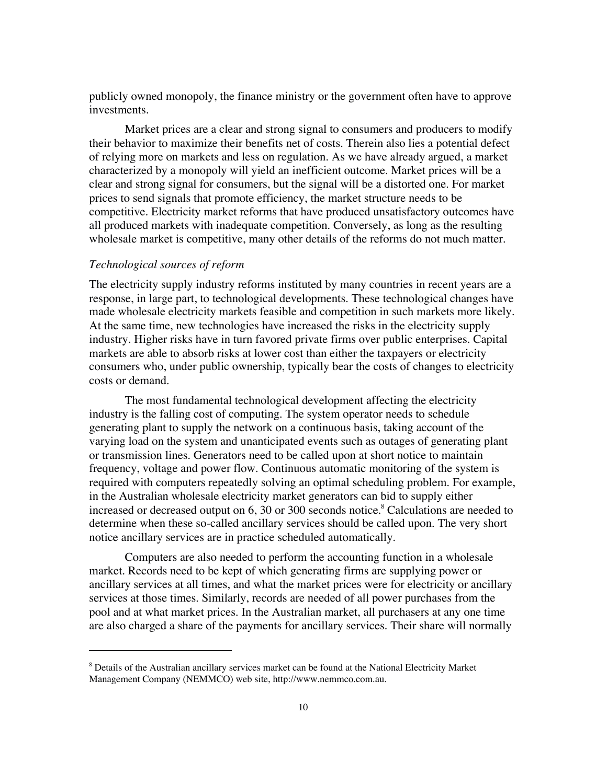publicly owned monopoly, the finance ministry or the government often have to approve investments.

Market prices are a clear and strong signal to consumers and producers to modify their behavior to maximize their benefits net of costs. Therein also lies a potential defect of relying more on markets and less on regulation. As we have already argued, a market characterized by a monopoly will yield an inefficient outcome. Market prices will be a clear and strong signal for consumers, but the signal will be a distorted one. For market prices to send signals that promote efficiency, the market structure needs to be competitive. Electricity market reforms that have produced unsatisfactory outcomes have all produced markets with inadequate competition. Conversely, as long as the resulting wholesale market is competitive, many other details of the reforms do not much matter.

## *Technological sources of reform*

 $\overline{a}$ 

The electricity supply industry reforms instituted by many countries in recent years are a response, in large part, to technological developments. These technological changes have made wholesale electricity markets feasible and competition in such markets more likely. At the same time, new technologies have increased the risks in the electricity supply industry. Higher risks have in turn favored private firms over public enterprises. Capital markets are able to absorb risks at lower cost than either the taxpayers or electricity consumers who, under public ownership, typically bear the costs of changes to electricity costs or demand.

The most fundamental technological development affecting the electricity industry is the falling cost of computing. The system operator needs to schedule generating plant to supply the network on a continuous basis, taking account of the varying load on the system and unanticipated events such as outages of generating plant or transmission lines. Generators need to be called upon at short notice to maintain frequency, voltage and power flow. Continuous automatic monitoring of the system is required with computers repeatedly solving an optimal scheduling problem. For example, in the Australian wholesale electricity market generators can bid to supply either increased or decreased output on 6, 30 or 300 seconds notice.<sup>8</sup> Calculations are needed to determine when these so-called ancillary services should be called upon. The very short notice ancillary services are in practice scheduled automatically.

Computers are also needed to perform the accounting function in a wholesale market. Records need to be kept of which generating firms are supplying power or ancillary services at all times, and what the market prices were for electricity or ancillary services at those times. Similarly, records are needed of all power purchases from the pool and at what market prices. In the Australian market, all purchasers at any one time are also charged a share of the payments for ancillary services. Their share will normally

<sup>&</sup>lt;sup>8</sup> Details of the Australian ancillary services market can be found at the National Electricity Market Management Company (NEMMCO) web site, http://www.nemmco.com.au.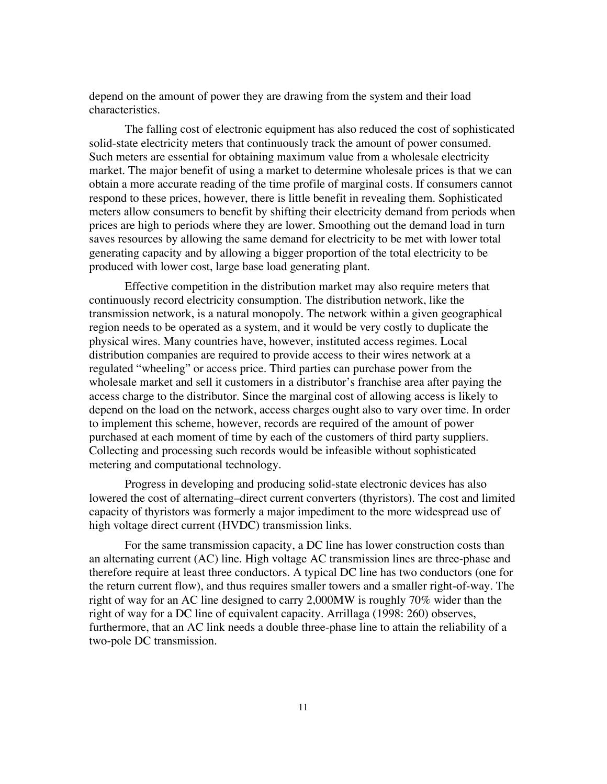depend on the amount of power they are drawing from the system and their load characteristics.

The falling cost of electronic equipment has also reduced the cost of sophisticated solid-state electricity meters that continuously track the amount of power consumed. Such meters are essential for obtaining maximum value from a wholesale electricity market. The major benefit of using a market to determine wholesale prices is that we can obtain a more accurate reading of the time profile of marginal costs. If consumers cannot respond to these prices, however, there is little benefit in revealing them. Sophisticated meters allow consumers to benefit by shifting their electricity demand from periods when prices are high to periods where they are lower. Smoothing out the demand load in turn saves resources by allowing the same demand for electricity to be met with lower total generating capacity and by allowing a bigger proportion of the total electricity to be produced with lower cost, large base load generating plant.

Effective competition in the distribution market may also require meters that continuously record electricity consumption. The distribution network, like the transmission network, is a natural monopoly. The network within a given geographical region needs to be operated as a system, and it would be very costly to duplicate the physical wires. Many countries have, however, instituted access regimes. Local distribution companies are required to provide access to their wires network at a regulated "wheeling" or access price. Third parties can purchase power from the wholesale market and sell it customers in a distributor's franchise area after paying the access charge to the distributor. Since the marginal cost of allowing access is likely to depend on the load on the network, access charges ought also to vary over time. In order to implement this scheme, however, records are required of the amount of power purchased at each moment of time by each of the customers of third party suppliers. Collecting and processing such records would be infeasible without sophisticated metering and computational technology.

Progress in developing and producing solid-state electronic devices has also lowered the cost of alternating–direct current converters (thyristors). The cost and limited capacity of thyristors was formerly a major impediment to the more widespread use of high voltage direct current (HVDC) transmission links.

For the same transmission capacity, a DC line has lower construction costs than an alternating current (AC) line. High voltage AC transmission lines are three-phase and therefore require at least three conductors. A typical DC line has two conductors (one for the return current flow), and thus requires smaller towers and a smaller right-of-way. The right of way for an AC line designed to carry 2,000MW is roughly 70% wider than the right of way for a DC line of equivalent capacity. Arrillaga (1998: 260) observes, furthermore, that an AC link needs a double three-phase line to attain the reliability of a two-pole DC transmission.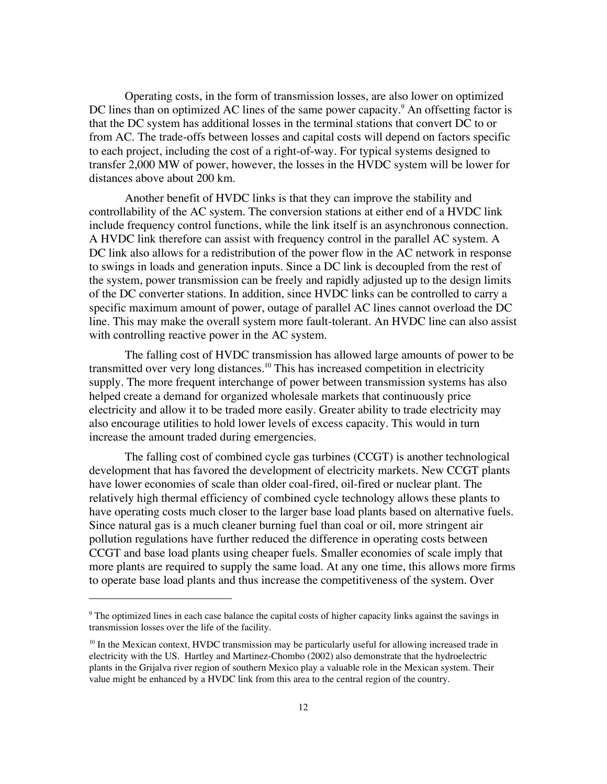Operating costs, in the form of transmission losses, are also lower on optimized DC lines than on optimized AC lines of the same power capacity.<sup>9</sup> An offsetting factor is that the DC system has additional losses in the terminal stations that convert DC to or from AC. The trade-offs between losses and capital costs will depend on factors specific to each project, including the cost of a right-of-way. For typical systems designed to transfer 2,000 MW of power, however, the losses in the HVDC system will be lower for distances above about 200 km.

Another benefit of HVDC links is that they can improve the stability and controllability of the AC system. The conversion stations at either end of a HVDC link include frequency control functions, while the link itself is an asynchronous connection. A HVDC link therefore can assist with frequency control in the parallel AC system. A DC link also allows for a redistribution of the power flow in the AC network in response to swings in loads and generation inputs. Since a DC link is decoupled from the rest of the system, power transmission can be freely and rapidly adjusted up to the design limits of the DC converter stations. In addition, since HVDC links can be controlled to carry a specific maximum amount of power, outage of parallel AC lines cannot overload the DC line. This may make the overall system more fault-tolerant. An HVDC line can also assist with controlling reactive power in the AC system.

The falling cost of HVDC transmission has allowed large amounts of power to be transmitted over very long distances.<sup>10</sup> This has increased competition in electricity supply. The more frequent interchange of power between transmission systems has also helped create a demand for organized wholesale markets that continuously price electricity and allow it to be traded more easily. Greater ability to trade electricity may also encourage utilities to hold lower levels of excess capacity. This would in turn increase the amount traded during emergencies.

The falling cost of combined cycle gas turbines (CCGT) is another technological development that has favored the development of electricity markets. New CCGT plants have lower economies of scale than older coal-fired, oil-fired or nuclear plant. The relatively high thermal efficiency of combined cycle technology allows these plants to have operating costs much closer to the larger base load plants based on alternative fuels. Since natural gas is a much cleaner burning fuel than coal or oil, more stringent air pollution regulations have further reduced the difference in operating costs between CCGT and base load plants using cheaper fuels. Smaller economies of scale imply that more plants are required to supply the same load. At any one time, this allows more firms to operate base load plants and thus increase the competitiveness of the system. Over

<sup>&</sup>lt;sup>9</sup> The optimized lines in each case balance the capital costs of higher capacity links against the savings in transmission losses over the life of the facility.

<sup>&</sup>lt;sup>10</sup> In the Mexican context, HVDC transmission may be particularly useful for allowing increased trade in electricity with the US. Hartley and Martinez-Chombo (2002) also demonstrate that the hydroelectric plants in the Grijalva river region of southern Mexico play a valuable role in the Mexican system. Their value might be enhanced by a HVDC link from this area to the central region of the country.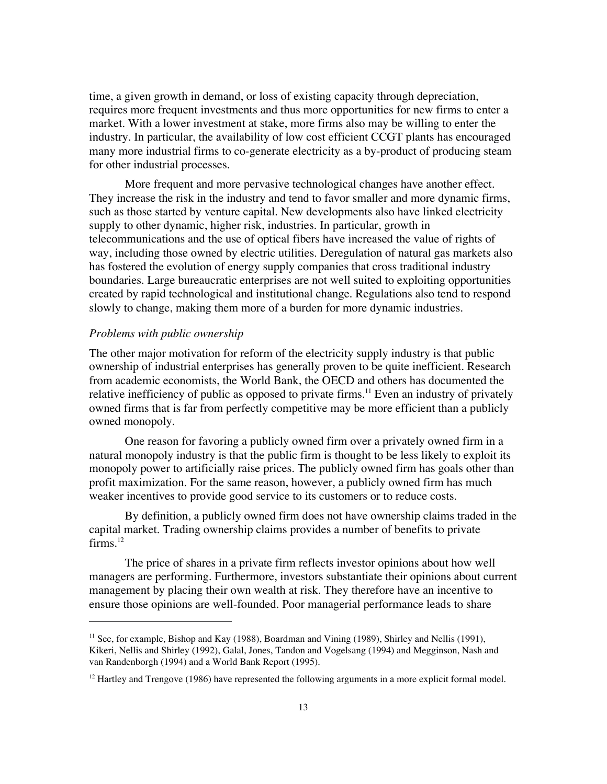time, a given growth in demand, or loss of existing capacity through depreciation, requires more frequent investments and thus more opportunities for new firms to enter a market. With a lower investment at stake, more firms also may be willing to enter the industry. In particular, the availability of low cost efficient CCGT plants has encouraged many more industrial firms to co-generate electricity as a by-product of producing steam for other industrial processes.

More frequent and more pervasive technological changes have another effect. They increase the risk in the industry and tend to favor smaller and more dynamic firms, such as those started by venture capital. New developments also have linked electricity supply to other dynamic, higher risk, industries. In particular, growth in telecommunications and the use of optical fibers have increased the value of rights of way, including those owned by electric utilities. Deregulation of natural gas markets also has fostered the evolution of energy supply companies that cross traditional industry boundaries. Large bureaucratic enterprises are not well suited to exploiting opportunities created by rapid technological and institutional change. Regulations also tend to respond slowly to change, making them more of a burden for more dynamic industries.

### *Problems with public ownership*

 $\overline{a}$ 

The other major motivation for reform of the electricity supply industry is that public ownership of industrial enterprises has generally proven to be quite inefficient. Research from academic economists, the World Bank, the OECD and others has documented the relative inefficiency of public as opposed to private firms.<sup>11</sup> Even an industry of privately owned firms that is far from perfectly competitive may be more efficient than a publicly owned monopoly.

One reason for favoring a publicly owned firm over a privately owned firm in a natural monopoly industry is that the public firm is thought to be less likely to exploit its monopoly power to artificially raise prices. The publicly owned firm has goals other than profit maximization. For the same reason, however, a publicly owned firm has much weaker incentives to provide good service to its customers or to reduce costs.

By definition, a publicly owned firm does not have ownership claims traded in the capital market. Trading ownership claims provides a number of benefits to private  $firms.<sup>12</sup>$ 

The price of shares in a private firm reflects investor opinions about how well managers are performing. Furthermore, investors substantiate their opinions about current management by placing their own wealth at risk. They therefore have an incentive to ensure those opinions are well-founded. Poor managerial performance leads to share

<sup>&</sup>lt;sup>11</sup> See, for example, Bishop and Kay (1988), Boardman and Vining (1989), Shirley and Nellis (1991), Kikeri, Nellis and Shirley (1992), Galal, Jones, Tandon and Vogelsang (1994) and Megginson, Nash and van Randenborgh (1994) and a World Bank Report (1995).

 $12$  Hartley and Trengove (1986) have represented the following arguments in a more explicit formal model.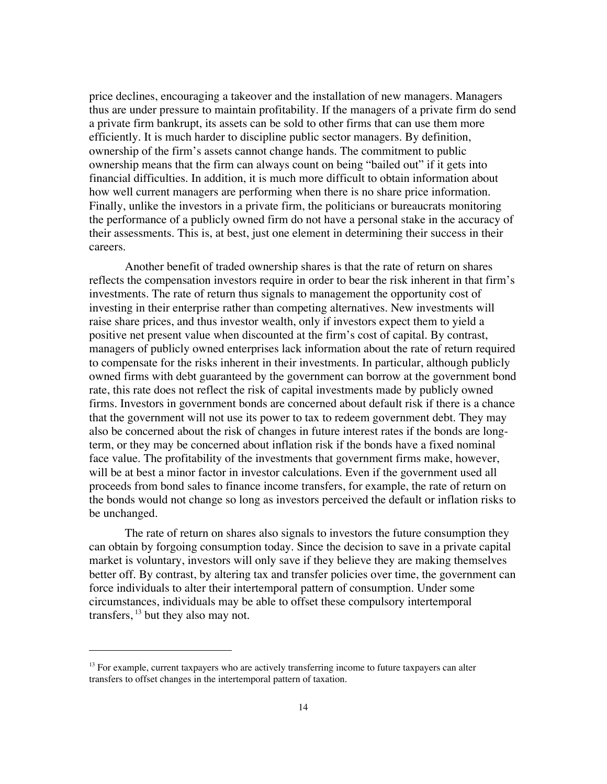price declines, encouraging a takeover and the installation of new managers. Managers thus are under pressure to maintain profitability. If the managers of a private firm do send a private firm bankrupt, its assets can be sold to other firms that can use them more efficiently. It is much harder to discipline public sector managers. By definition, ownership of the firm's assets cannot change hands. The commitment to public ownership means that the firm can always count on being "bailed out" if it gets into financial difficulties. In addition, it is much more difficult to obtain information about how well current managers are performing when there is no share price information. Finally, unlike the investors in a private firm, the politicians or bureaucrats monitoring the performance of a publicly owned firm do not have a personal stake in the accuracy of their assessments. This is, at best, just one element in determining their success in their careers.

Another benefit of traded ownership shares is that the rate of return on shares reflects the compensation investors require in order to bear the risk inherent in that firm's investments. The rate of return thus signals to management the opportunity cost of investing in their enterprise rather than competing alternatives. New investments will raise share prices, and thus investor wealth, only if investors expect them to yield a positive net present value when discounted at the firm's cost of capital. By contrast, managers of publicly owned enterprises lack information about the rate of return required to compensate for the risks inherent in their investments. In particular, although publicly owned firms with debt guaranteed by the government can borrow at the government bond rate, this rate does not reflect the risk of capital investments made by publicly owned firms. Investors in government bonds are concerned about default risk if there is a chance that the government will not use its power to tax to redeem government debt. They may also be concerned about the risk of changes in future interest rates if the bonds are longterm, or they may be concerned about inflation risk if the bonds have a fixed nominal face value. The profitability of the investments that government firms make, however, will be at best a minor factor in investor calculations. Even if the government used all proceeds from bond sales to finance income transfers, for example, the rate of return on the bonds would not change so long as investors perceived the default or inflation risks to be unchanged.

The rate of return on shares also signals to investors the future consumption they can obtain by forgoing consumption today. Since the decision to save in a private capital market is voluntary, investors will only save if they believe they are making themselves better off. By contrast, by altering tax and transfer policies over time, the government can force individuals to alter their intertemporal pattern of consumption. Under some circumstances, individuals may be able to offset these compulsory intertemporal transfers,  $^{13}$  but they also may not.

<sup>&</sup>lt;sup>13</sup> For example, current taxpayers who are actively transferring income to future taxpayers can alter transfers to offset changes in the intertemporal pattern of taxation.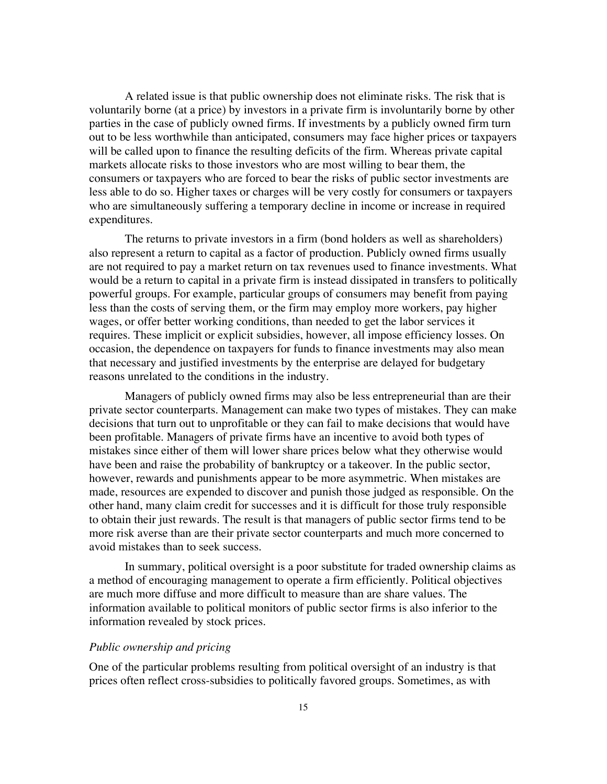A related issue is that public ownership does not eliminate risks. The risk that is voluntarily borne (at a price) by investors in a private firm is involuntarily borne by other parties in the case of publicly owned firms. If investments by a publicly owned firm turn out to be less worthwhile than anticipated, consumers may face higher prices or taxpayers will be called upon to finance the resulting deficits of the firm. Whereas private capital markets allocate risks to those investors who are most willing to bear them, the consumers or taxpayers who are forced to bear the risks of public sector investments are less able to do so. Higher taxes or charges will be very costly for consumers or taxpayers who are simultaneously suffering a temporary decline in income or increase in required expenditures.

The returns to private investors in a firm (bond holders as well as shareholders) also represent a return to capital as a factor of production. Publicly owned firms usually are not required to pay a market return on tax revenues used to finance investments. What would be a return to capital in a private firm is instead dissipated in transfers to politically powerful groups. For example, particular groups of consumers may benefit from paying less than the costs of serving them, or the firm may employ more workers, pay higher wages, or offer better working conditions, than needed to get the labor services it requires. These implicit or explicit subsidies, however, all impose efficiency losses. On occasion, the dependence on taxpayers for funds to finance investments may also mean that necessary and justified investments by the enterprise are delayed for budgetary reasons unrelated to the conditions in the industry.

Managers of publicly owned firms may also be less entrepreneurial than are their private sector counterparts. Management can make two types of mistakes. They can make decisions that turn out to unprofitable or they can fail to make decisions that would have been profitable. Managers of private firms have an incentive to avoid both types of mistakes since either of them will lower share prices below what they otherwise would have been and raise the probability of bankruptcy or a takeover. In the public sector, however, rewards and punishments appear to be more asymmetric. When mistakes are made, resources are expended to discover and punish those judged as responsible. On the other hand, many claim credit for successes and it is difficult for those truly responsible to obtain their just rewards. The result is that managers of public sector firms tend to be more risk averse than are their private sector counterparts and much more concerned to avoid mistakes than to seek success.

In summary, political oversight is a poor substitute for traded ownership claims as a method of encouraging management to operate a firm efficiently. Political objectives are much more diffuse and more difficult to measure than are share values. The information available to political monitors of public sector firms is also inferior to the information revealed by stock prices.

# *Public ownership and pricing*

One of the particular problems resulting from political oversight of an industry is that prices often reflect cross-subsidies to politically favored groups. Sometimes, as with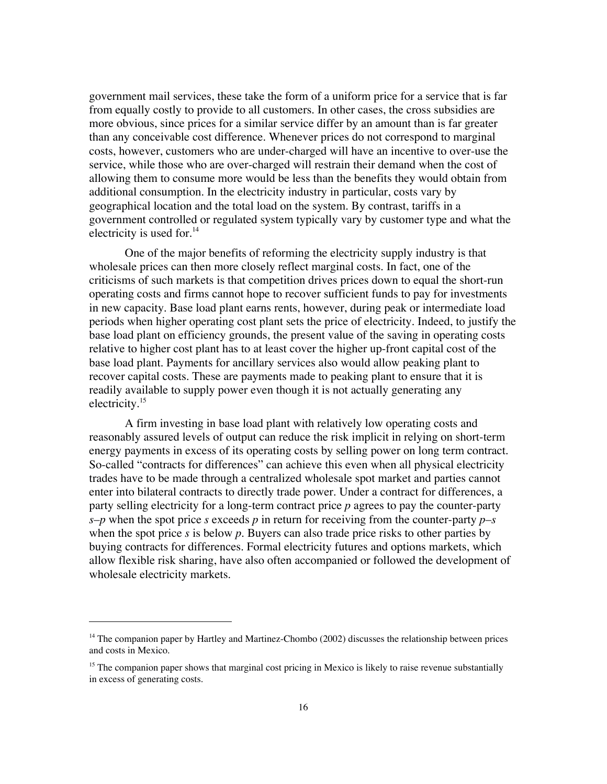government mail services, these take the form of a uniform price for a service that is far from equally costly to provide to all customers. In other cases, the cross subsidies are more obvious, since prices for a similar service differ by an amount than is far greater than any conceivable cost difference. Whenever prices do not correspond to marginal costs, however, customers who are under-charged will have an incentive to over-use the service, while those who are over-charged will restrain their demand when the cost of allowing them to consume more would be less than the benefits they would obtain from additional consumption. In the electricity industry in particular, costs vary by geographical location and the total load on the system. By contrast, tariffs in a government controlled or regulated system typically vary by customer type and what the electricity is used for. $^{14}$ 

One of the major benefits of reforming the electricity supply industry is that wholesale prices can then more closely reflect marginal costs. In fact, one of the criticisms of such markets is that competition drives prices down to equal the short-run operating costs and firms cannot hope to recover sufficient funds to pay for investments in new capacity. Base load plant earns rents, however, during peak or intermediate load periods when higher operating cost plant sets the price of electricity. Indeed, to justify the base load plant on efficiency grounds, the present value of the saving in operating costs relative to higher cost plant has to at least cover the higher up-front capital cost of the base load plant. Payments for ancillary services also would allow peaking plant to recover capital costs. These are payments made to peaking plant to ensure that it is readily available to supply power even though it is not actually generating any electricity.15

A firm investing in base load plant with relatively low operating costs and reasonably assured levels of output can reduce the risk implicit in relying on short-term energy payments in excess of its operating costs by selling power on long term contract. So-called "contracts for differences" can achieve this even when all physical electricity trades have to be made through a centralized wholesale spot market and parties cannot enter into bilateral contracts to directly trade power. Under a contract for differences, a party selling electricity for a long-term contract price *p* agrees to pay the counter-party *s*–*p* when the spot price *s* exceeds *p* in return for receiving from the counter-party *p*–*s* when the spot price *s* is below *p*. Buyers can also trade price risks to other parties by buying contracts for differences. Formal electricity futures and options markets, which allow flexible risk sharing, have also often accompanied or followed the development of wholesale electricity markets.

<sup>&</sup>lt;sup>14</sup> The companion paper by Hartley and Martinez-Chombo (2002) discusses the relationship between prices and costs in Mexico.

<sup>&</sup>lt;sup>15</sup> The companion paper shows that marginal cost pricing in Mexico is likely to raise revenue substantially in excess of generating costs.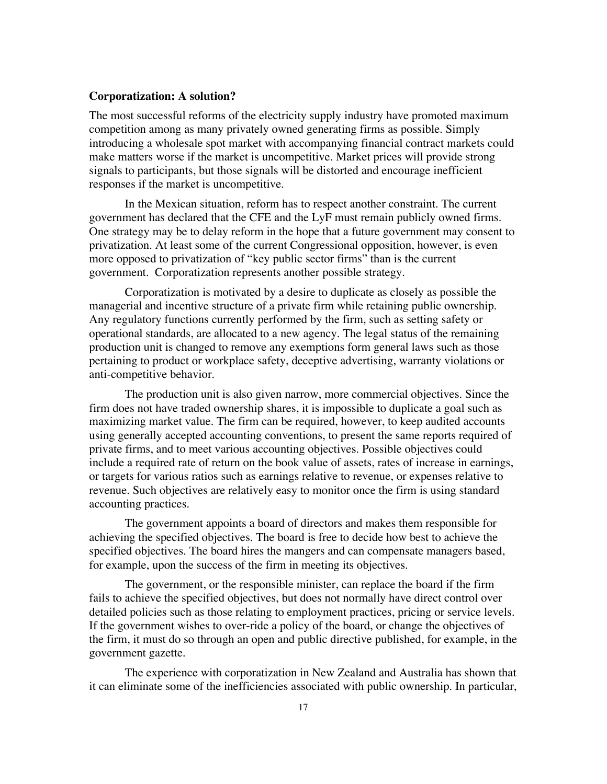#### **Corporatization: A solution?**

The most successful reforms of the electricity supply industry have promoted maximum competition among as many privately owned generating firms as possible. Simply introducing a wholesale spot market with accompanying financial contract markets could make matters worse if the market is uncompetitive. Market prices will provide strong signals to participants, but those signals will be distorted and encourage inefficient responses if the market is uncompetitive.

In the Mexican situation, reform has to respect another constraint. The current government has declared that the CFE and the LyF must remain publicly owned firms. One strategy may be to delay reform in the hope that a future government may consent to privatization. At least some of the current Congressional opposition, however, is even more opposed to privatization of "key public sector firms" than is the current government. Corporatization represents another possible strategy.

Corporatization is motivated by a desire to duplicate as closely as possible the managerial and incentive structure of a private firm while retaining public ownership. Any regulatory functions currently performed by the firm, such as setting safety or operational standards, are allocated to a new agency. The legal status of the remaining production unit is changed to remove any exemptions form general laws such as those pertaining to product or workplace safety, deceptive advertising, warranty violations or anti-competitive behavior.

The production unit is also given narrow, more commercial objectives. Since the firm does not have traded ownership shares, it is impossible to duplicate a goal such as maximizing market value. The firm can be required, however, to keep audited accounts using generally accepted accounting conventions, to present the same reports required of private firms, and to meet various accounting objectives. Possible objectives could include a required rate of return on the book value of assets, rates of increase in earnings, or targets for various ratios such as earnings relative to revenue, or expenses relative to revenue. Such objectives are relatively easy to monitor once the firm is using standard accounting practices.

The government appoints a board of directors and makes them responsible for achieving the specified objectives. The board is free to decide how best to achieve the specified objectives. The board hires the mangers and can compensate managers based, for example, upon the success of the firm in meeting its objectives.

The government, or the responsible minister, can replace the board if the firm fails to achieve the specified objectives, but does not normally have direct control over detailed policies such as those relating to employment practices, pricing or service levels. If the government wishes to over-ride a policy of the board, or change the objectives of the firm, it must do so through an open and public directive published, for example, in the government gazette.

The experience with corporatization in New Zealand and Australia has shown that it can eliminate some of the inefficiencies associated with public ownership. In particular,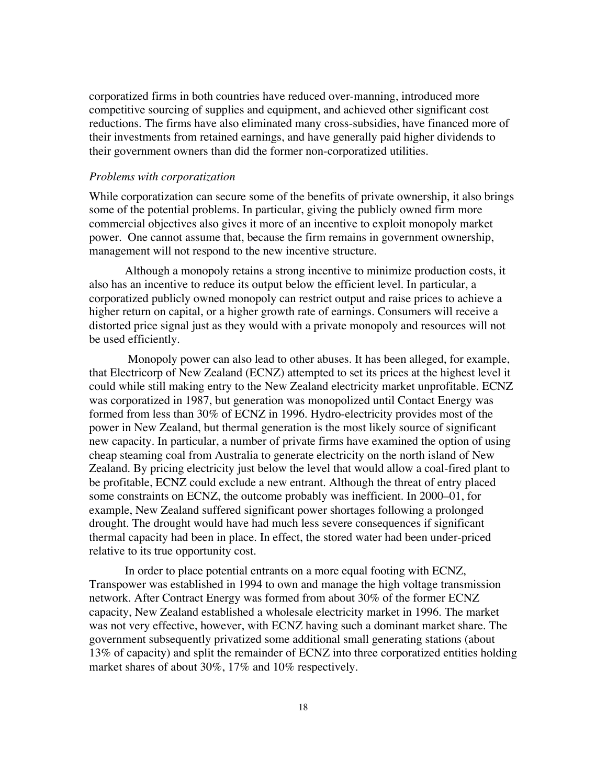corporatized firms in both countries have reduced over-manning, introduced more competitive sourcing of supplies and equipment, and achieved other significant cost reductions. The firms have also eliminated many cross-subsidies, have financed more of their investments from retained earnings, and have generally paid higher dividends to their government owners than did the former non-corporatized utilities.

# *Problems with corporatization*

While corporatization can secure some of the benefits of private ownership, it also brings some of the potential problems. In particular, giving the publicly owned firm more commercial objectives also gives it more of an incentive to exploit monopoly market power. One cannot assume that, because the firm remains in government ownership, management will not respond to the new incentive structure.

Although a monopoly retains a strong incentive to minimize production costs, it also has an incentive to reduce its output below the efficient level. In particular, a corporatized publicly owned monopoly can restrict output and raise prices to achieve a higher return on capital, or a higher growth rate of earnings. Consumers will receive a distorted price signal just as they would with a private monopoly and resources will not be used efficiently.

 Monopoly power can also lead to other abuses. It has been alleged, for example, that Electricorp of New Zealand (ECNZ) attempted to set its prices at the highest level it could while still making entry to the New Zealand electricity market unprofitable. ECNZ was corporatized in 1987, but generation was monopolized until Contact Energy was formed from less than 30% of ECNZ in 1996. Hydro-electricity provides most of the power in New Zealand, but thermal generation is the most likely source of significant new capacity. In particular, a number of private firms have examined the option of using cheap steaming coal from Australia to generate electricity on the north island of New Zealand. By pricing electricity just below the level that would allow a coal-fired plant to be profitable, ECNZ could exclude a new entrant. Although the threat of entry placed some constraints on ECNZ, the outcome probably was inefficient. In 2000–01, for example, New Zealand suffered significant power shortages following a prolonged drought. The drought would have had much less severe consequences if significant thermal capacity had been in place. In effect, the stored water had been under-priced relative to its true opportunity cost.

In order to place potential entrants on a more equal footing with ECNZ, Transpower was established in 1994 to own and manage the high voltage transmission network. After Contract Energy was formed from about 30% of the former ECNZ capacity, New Zealand established a wholesale electricity market in 1996. The market was not very effective, however, with ECNZ having such a dominant market share. The government subsequently privatized some additional small generating stations (about 13% of capacity) and split the remainder of ECNZ into three corporatized entities holding market shares of about 30%, 17% and 10% respectively.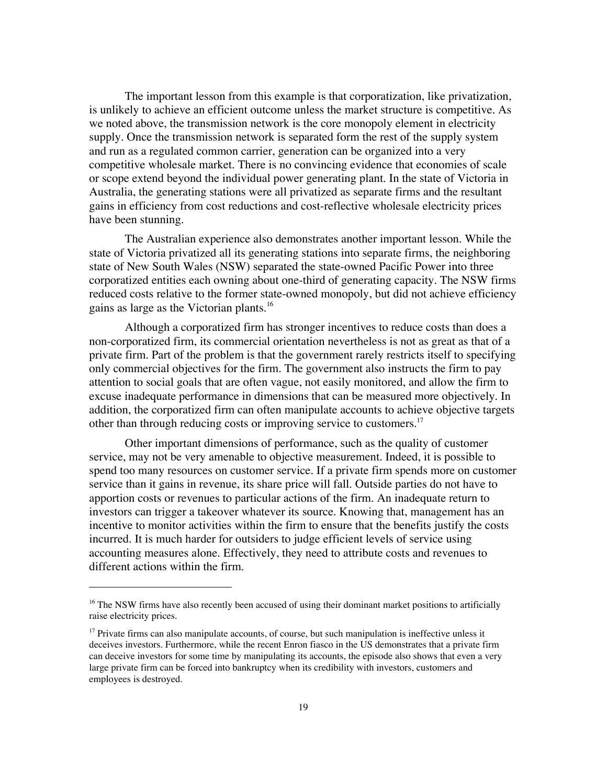The important lesson from this example is that corporatization, like privatization, is unlikely to achieve an efficient outcome unless the market structure is competitive. As we noted above, the transmission network is the core monopoly element in electricity supply. Once the transmission network is separated form the rest of the supply system and run as a regulated common carrier, generation can be organized into a very competitive wholesale market. There is no convincing evidence that economies of scale or scope extend beyond the individual power generating plant. In the state of Victoria in Australia, the generating stations were all privatized as separate firms and the resultant gains in efficiency from cost reductions and cost-reflective wholesale electricity prices have been stunning.

The Australian experience also demonstrates another important lesson. While the state of Victoria privatized all its generating stations into separate firms, the neighboring state of New South Wales (NSW) separated the state-owned Pacific Power into three corporatized entities each owning about one-third of generating capacity. The NSW firms reduced costs relative to the former state-owned monopoly, but did not achieve efficiency gains as large as the Victorian plants.<sup>16</sup>

Although a corporatized firm has stronger incentives to reduce costs than does a non-corporatized firm, its commercial orientation nevertheless is not as great as that of a private firm. Part of the problem is that the government rarely restricts itself to specifying only commercial objectives for the firm. The government also instructs the firm to pay attention to social goals that are often vague, not easily monitored, and allow the firm to excuse inadequate performance in dimensions that can be measured more objectively. In addition, the corporatized firm can often manipulate accounts to achieve objective targets other than through reducing costs or improving service to customers.<sup>17</sup>

Other important dimensions of performance, such as the quality of customer service, may not be very amenable to objective measurement. Indeed, it is possible to spend too many resources on customer service. If a private firm spends more on customer service than it gains in revenue, its share price will fall. Outside parties do not have to apportion costs or revenues to particular actions of the firm. An inadequate return to investors can trigger a takeover whatever its source. Knowing that, management has an incentive to monitor activities within the firm to ensure that the benefits justify the costs incurred. It is much harder for outsiders to judge efficient levels of service using accounting measures alone. Effectively, they need to attribute costs and revenues to different actions within the firm.

<sup>&</sup>lt;sup>16</sup> The NSW firms have also recently been accused of using their dominant market positions to artificially raise electricity prices.

<sup>&</sup>lt;sup>17</sup> Private firms can also manipulate accounts, of course, but such manipulation is ineffective unless it deceives investors. Furthermore, while the recent Enron fiasco in the US demonstrates that a private firm can deceive investors for some time by manipulating its accounts, the episode also shows that even a very large private firm can be forced into bankruptcy when its credibility with investors, customers and employees is destroyed.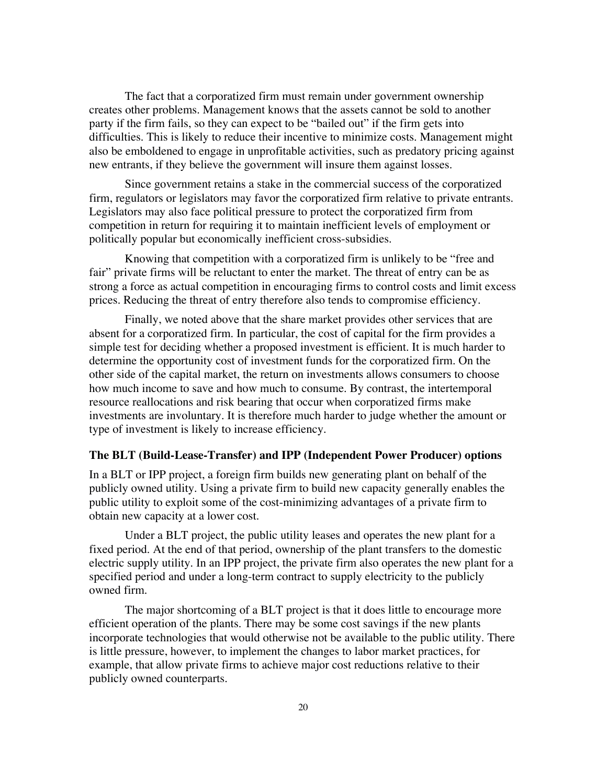The fact that a corporatized firm must remain under government ownership creates other problems. Management knows that the assets cannot be sold to another party if the firm fails, so they can expect to be "bailed out" if the firm gets into difficulties. This is likely to reduce their incentive to minimize costs. Management might also be emboldened to engage in unprofitable activities, such as predatory pricing against new entrants, if they believe the government will insure them against losses.

Since government retains a stake in the commercial success of the corporatized firm, regulators or legislators may favor the corporatized firm relative to private entrants. Legislators may also face political pressure to protect the corporatized firm from competition in return for requiring it to maintain inefficient levels of employment or politically popular but economically inefficient cross-subsidies.

Knowing that competition with a corporatized firm is unlikely to be "free and fair" private firms will be reluctant to enter the market. The threat of entry can be as strong a force as actual competition in encouraging firms to control costs and limit excess prices. Reducing the threat of entry therefore also tends to compromise efficiency.

Finally, we noted above that the share market provides other services that are absent for a corporatized firm. In particular, the cost of capital for the firm provides a simple test for deciding whether a proposed investment is efficient. It is much harder to determine the opportunity cost of investment funds for the corporatized firm. On the other side of the capital market, the return on investments allows consumers to choose how much income to save and how much to consume. By contrast, the intertemporal resource reallocations and risk bearing that occur when corporatized firms make investments are involuntary. It is therefore much harder to judge whether the amount or type of investment is likely to increase efficiency.

### **The BLT (Build-Lease-Transfer) and IPP (Independent Power Producer) options**

In a BLT or IPP project, a foreign firm builds new generating plant on behalf of the publicly owned utility. Using a private firm to build new capacity generally enables the public utility to exploit some of the cost-minimizing advantages of a private firm to obtain new capacity at a lower cost.

Under a BLT project, the public utility leases and operates the new plant for a fixed period. At the end of that period, ownership of the plant transfers to the domestic electric supply utility. In an IPP project, the private firm also operates the new plant for a specified period and under a long-term contract to supply electricity to the publicly owned firm.

The major shortcoming of a BLT project is that it does little to encourage more efficient operation of the plants. There may be some cost savings if the new plants incorporate technologies that would otherwise not be available to the public utility. There is little pressure, however, to implement the changes to labor market practices, for example, that allow private firms to achieve major cost reductions relative to their publicly owned counterparts.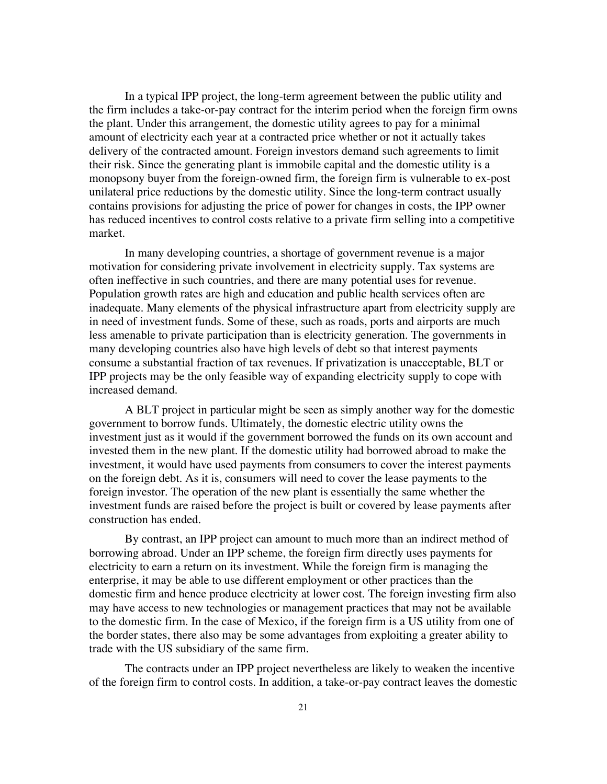In a typical IPP project, the long-term agreement between the public utility and the firm includes a take-or-pay contract for the interim period when the foreign firm owns the plant. Under this arrangement, the domestic utility agrees to pay for a minimal amount of electricity each year at a contracted price whether or not it actually takes delivery of the contracted amount. Foreign investors demand such agreements to limit their risk. Since the generating plant is immobile capital and the domestic utility is a monopsony buyer from the foreign-owned firm, the foreign firm is vulnerable to ex-post unilateral price reductions by the domestic utility. Since the long-term contract usually contains provisions for adjusting the price of power for changes in costs, the IPP owner has reduced incentives to control costs relative to a private firm selling into a competitive market.

In many developing countries, a shortage of government revenue is a major motivation for considering private involvement in electricity supply. Tax systems are often ineffective in such countries, and there are many potential uses for revenue. Population growth rates are high and education and public health services often are inadequate. Many elements of the physical infrastructure apart from electricity supply are in need of investment funds. Some of these, such as roads, ports and airports are much less amenable to private participation than is electricity generation. The governments in many developing countries also have high levels of debt so that interest payments consume a substantial fraction of tax revenues. If privatization is unacceptable, BLT or IPP projects may be the only feasible way of expanding electricity supply to cope with increased demand.

A BLT project in particular might be seen as simply another way for the domestic government to borrow funds. Ultimately, the domestic electric utility owns the investment just as it would if the government borrowed the funds on its own account and invested them in the new plant. If the domestic utility had borrowed abroad to make the investment, it would have used payments from consumers to cover the interest payments on the foreign debt. As it is, consumers will need to cover the lease payments to the foreign investor. The operation of the new plant is essentially the same whether the investment funds are raised before the project is built or covered by lease payments after construction has ended.

By contrast, an IPP project can amount to much more than an indirect method of borrowing abroad. Under an IPP scheme, the foreign firm directly uses payments for electricity to earn a return on its investment. While the foreign firm is managing the enterprise, it may be able to use different employment or other practices than the domestic firm and hence produce electricity at lower cost. The foreign investing firm also may have access to new technologies or management practices that may not be available to the domestic firm. In the case of Mexico, if the foreign firm is a US utility from one of the border states, there also may be some advantages from exploiting a greater ability to trade with the US subsidiary of the same firm.

The contracts under an IPP project nevertheless are likely to weaken the incentive of the foreign firm to control costs. In addition, a take-or-pay contract leaves the domestic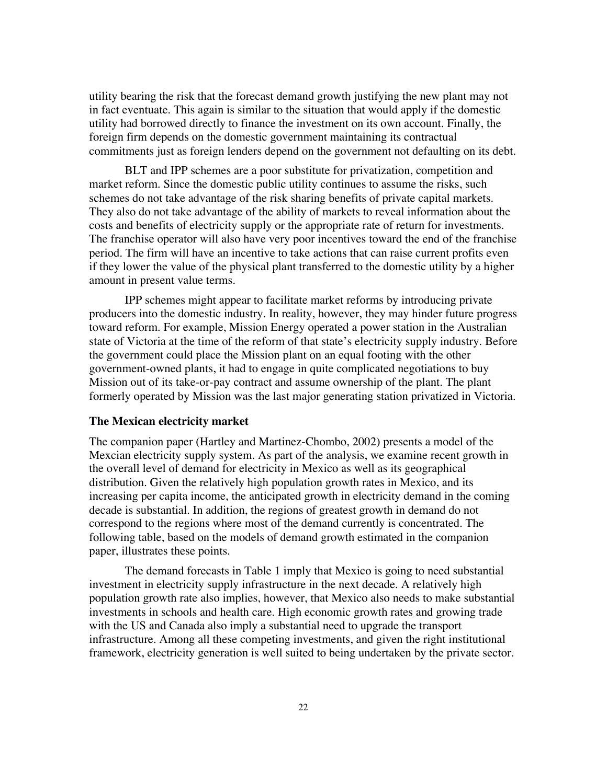utility bearing the risk that the forecast demand growth justifying the new plant may not in fact eventuate. This again is similar to the situation that would apply if the domestic utility had borrowed directly to finance the investment on its own account. Finally, the foreign firm depends on the domestic government maintaining its contractual commitments just as foreign lenders depend on the government not defaulting on its debt.

BLT and IPP schemes are a poor substitute for privatization, competition and market reform. Since the domestic public utility continues to assume the risks, such schemes do not take advantage of the risk sharing benefits of private capital markets. They also do not take advantage of the ability of markets to reveal information about the costs and benefits of electricity supply or the appropriate rate of return for investments. The franchise operator will also have very poor incentives toward the end of the franchise period. The firm will have an incentive to take actions that can raise current profits even if they lower the value of the physical plant transferred to the domestic utility by a higher amount in present value terms.

IPP schemes might appear to facilitate market reforms by introducing private producers into the domestic industry. In reality, however, they may hinder future progress toward reform. For example, Mission Energy operated a power station in the Australian state of Victoria at the time of the reform of that state's electricity supply industry. Before the government could place the Mission plant on an equal footing with the other government-owned plants, it had to engage in quite complicated negotiations to buy Mission out of its take-or-pay contract and assume ownership of the plant. The plant formerly operated by Mission was the last major generating station privatized in Victoria.

#### **The Mexican electricity market**

The companion paper (Hartley and Martinez-Chombo, 2002) presents a model of the Mexcian electricity supply system. As part of the analysis, we examine recent growth in the overall level of demand for electricity in Mexico as well as its geographical distribution. Given the relatively high population growth rates in Mexico, and its increasing per capita income, the anticipated growth in electricity demand in the coming decade is substantial. In addition, the regions of greatest growth in demand do not correspond to the regions where most of the demand currently is concentrated. The following table, based on the models of demand growth estimated in the companion paper, illustrates these points.

The demand forecasts in Table 1 imply that Mexico is going to need substantial investment in electricity supply infrastructure in the next decade. A relatively high population growth rate also implies, however, that Mexico also needs to make substantial investments in schools and health care. High economic growth rates and growing trade with the US and Canada also imply a substantial need to upgrade the transport infrastructure. Among all these competing investments, and given the right institutional framework, electricity generation is well suited to being undertaken by the private sector.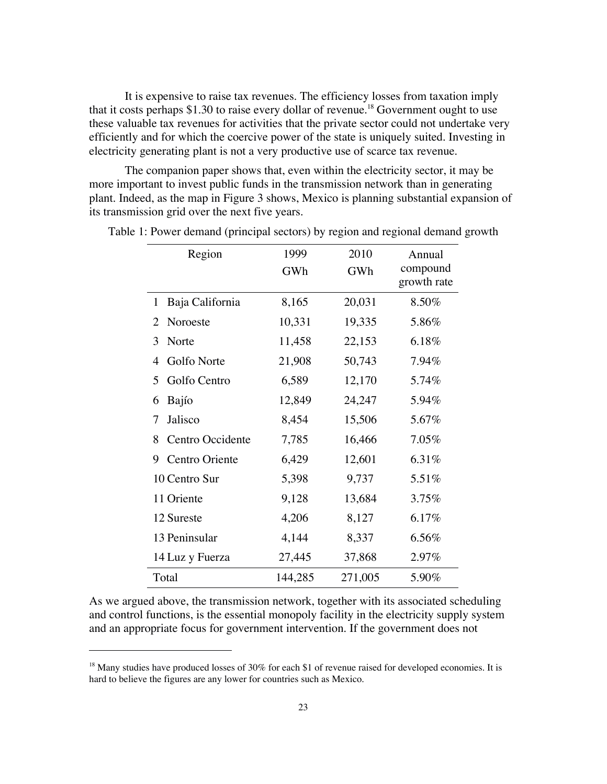It is expensive to raise tax revenues. The efficiency losses from taxation imply that it costs perhaps \$1.30 to raise every dollar of revenue.<sup>18</sup> Government ought to use these valuable tax revenues for activities that the private sector could not undertake very efficiently and for which the coercive power of the state is uniquely suited. Investing in electricity generating plant is not a very productive use of scarce tax revenue.

The companion paper shows that, even within the electricity sector, it may be more important to invest public funds in the transmission network than in generating plant. Indeed, as the map in Figure 3 shows, Mexico is planning substantial expansion of its transmission grid over the next five years.

| Region                | 1999    | 2010    | Annual                  |
|-----------------------|---------|---------|-------------------------|
|                       | GWh     | GWh     | compound<br>growth rate |
| Baja California<br>1  | 8,165   | 20,031  | 8.50%                   |
| Noroeste<br>2         | 10,331  | 19,335  | 5.86%                   |
| 3<br>Norte            | 11,458  | 22,153  | 6.18%                   |
| Golfo Norte<br>4      | 21,908  | 50,743  | 7.94%                   |
| 5<br>Golfo Centro     | 6,589   | 12,170  | 5.74%                   |
| Bajío<br>6            | 12,849  | 24,247  | 5.94%                   |
| Jalisco<br>7          | 8,454   | 15,506  | 5.67%                   |
| Centro Occidente<br>8 | 7,785   | 16,466  | 7.05%                   |
| Centro Oriente<br>9   | 6,429   | 12,601  | 6.31%                   |
| 10 Centro Sur         | 5,398   | 9,737   | 5.51%                   |
| 11 Oriente            | 9,128   | 13,684  | 3.75%                   |
| 12 Sureste            | 4,206   | 8,127   | 6.17%                   |
| 13 Peninsular         | 4,144   | 8,337   | 6.56%                   |
| 14 Luz y Fuerza       | 27,445  | 37,868  | 2.97%                   |
| Total                 | 144,285 | 271,005 | 5.90%                   |

Table 1: Power demand (principal sectors) by region and regional demand growth

As we argued above, the transmission network, together with its associated scheduling and control functions, is the essential monopoly facility in the electricity supply system and an appropriate focus for government intervention. If the government does not

<sup>&</sup>lt;sup>18</sup> Many studies have produced losses of 30% for each \$1 of revenue raised for developed economies. It is hard to believe the figures are any lower for countries such as Mexico.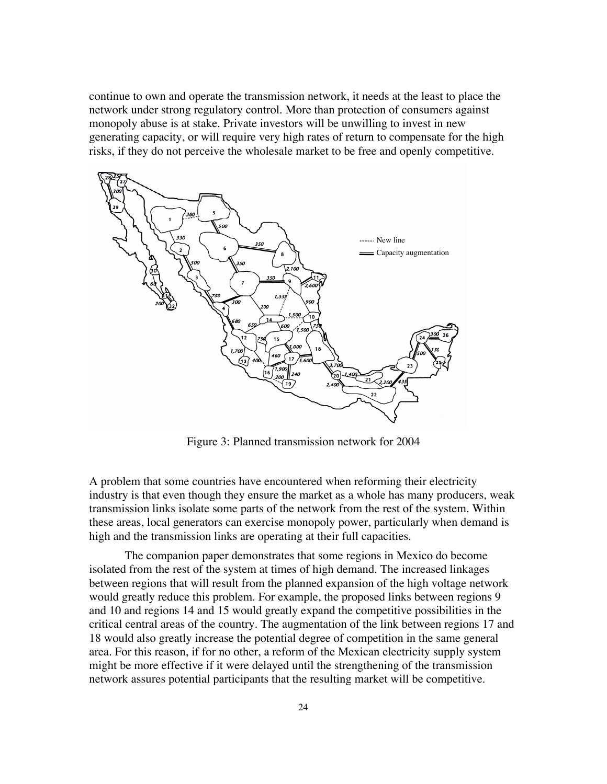continue to own and operate the transmission network, it needs at the least to place the network under strong regulatory control. More than protection of consumers against monopoly abuse is at stake. Private investors will be unwilling to invest in new generating capacity, or will require very high rates of return to compensate for the high risks, if they do not perceive the wholesale market to be free and openly competitive.



Figure 3: Planned transmission network for 2004

A problem that some countries have encountered when reforming their electricity industry is that even though they ensure the market as a whole has many producers, weak transmission links isolate some parts of the network from the rest of the system. Within these areas, local generators can exercise monopoly power, particularly when demand is high and the transmission links are operating at their full capacities.

The companion paper demonstrates that some regions in Mexico do become isolated from the rest of the system at times of high demand. The increased linkages between regions that will result from the planned expansion of the high voltage network would greatly reduce this problem. For example, the proposed links between regions 9 and 10 and regions 14 and 15 would greatly expand the competitive possibilities in the critical central areas of the country. The augmentation of the link between regions 17 and 18 would also greatly increase the potential degree of competition in the same general area. For this reason, if for no other, a reform of the Mexican electricity supply system might be more effective if it were delayed until the strengthening of the transmission network assures potential participants that the resulting market will be competitive.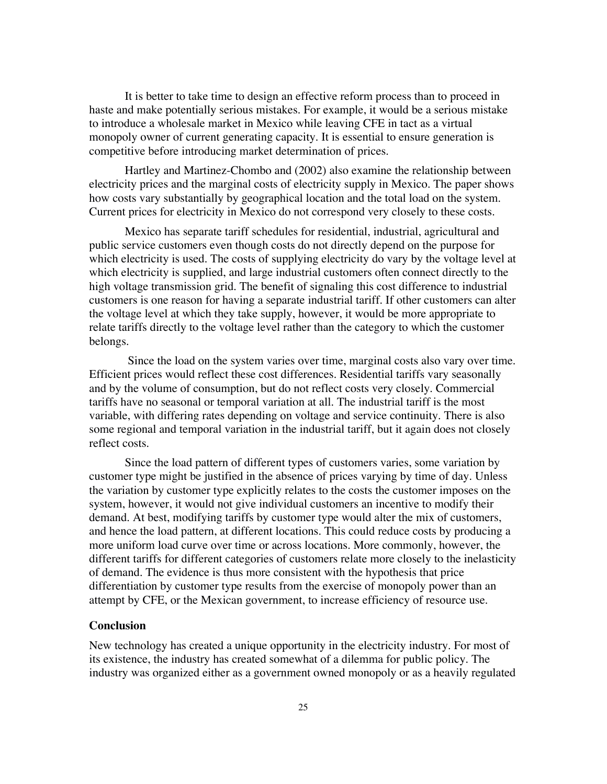It is better to take time to design an effective reform process than to proceed in haste and make potentially serious mistakes. For example, it would be a serious mistake to introduce a wholesale market in Mexico while leaving CFE in tact as a virtual monopoly owner of current generating capacity. It is essential to ensure generation is competitive before introducing market determination of prices.

Hartley and Martinez-Chombo and (2002) also examine the relationship between electricity prices and the marginal costs of electricity supply in Mexico. The paper shows how costs vary substantially by geographical location and the total load on the system. Current prices for electricity in Mexico do not correspond very closely to these costs.

Mexico has separate tariff schedules for residential, industrial, agricultural and public service customers even though costs do not directly depend on the purpose for which electricity is used. The costs of supplying electricity do vary by the voltage level at which electricity is supplied, and large industrial customers often connect directly to the high voltage transmission grid. The benefit of signaling this cost difference to industrial customers is one reason for having a separate industrial tariff. If other customers can alter the voltage level at which they take supply, however, it would be more appropriate to relate tariffs directly to the voltage level rather than the category to which the customer belongs.

 Since the load on the system varies over time, marginal costs also vary over time. Efficient prices would reflect these cost differences. Residential tariffs vary seasonally and by the volume of consumption, but do not reflect costs very closely. Commercial tariffs have no seasonal or temporal variation at all. The industrial tariff is the most variable, with differing rates depending on voltage and service continuity. There is also some regional and temporal variation in the industrial tariff, but it again does not closely reflect costs.

Since the load pattern of different types of customers varies, some variation by customer type might be justified in the absence of prices varying by time of day. Unless the variation by customer type explicitly relates to the costs the customer imposes on the system, however, it would not give individual customers an incentive to modify their demand. At best, modifying tariffs by customer type would alter the mix of customers, and hence the load pattern, at different locations. This could reduce costs by producing a more uniform load curve over time or across locations. More commonly, however, the different tariffs for different categories of customers relate more closely to the inelasticity of demand. The evidence is thus more consistent with the hypothesis that price differentiation by customer type results from the exercise of monopoly power than an attempt by CFE, or the Mexican government, to increase efficiency of resource use.

### **Conclusion**

New technology has created a unique opportunity in the electricity industry. For most of its existence, the industry has created somewhat of a dilemma for public policy. The industry was organized either as a government owned monopoly or as a heavily regulated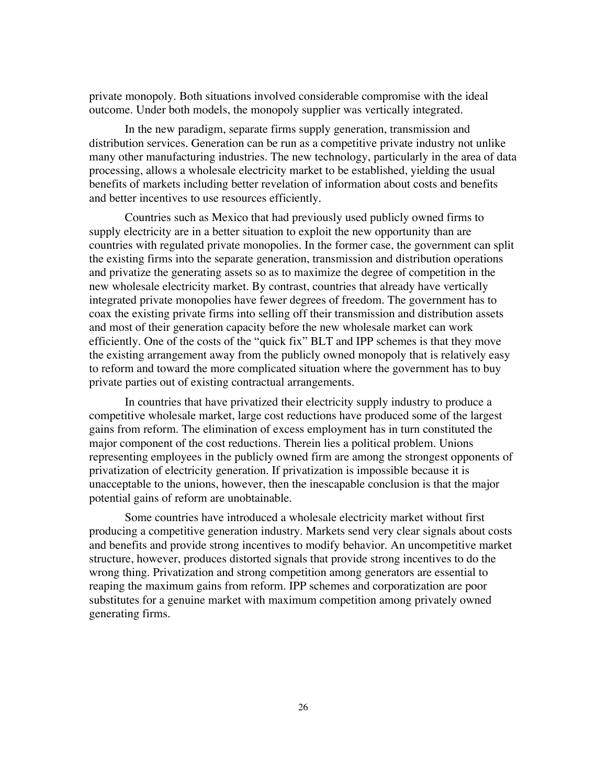private monopoly. Both situations involved considerable compromise with the ideal outcome. Under both models, the monopoly supplier was vertically integrated.

In the new paradigm, separate firms supply generation, transmission and distribution services. Generation can be run as a competitive private industry not unlike many other manufacturing industries. The new technology, particularly in the area of data processing, allows a wholesale electricity market to be established, yielding the usual benefits of markets including better revelation of information about costs and benefits and better incentives to use resources efficiently.

Countries such as Mexico that had previously used publicly owned firms to supply electricity are in a better situation to exploit the new opportunity than are countries with regulated private monopolies. In the former case, the government can split the existing firms into the separate generation, transmission and distribution operations and privatize the generating assets so as to maximize the degree of competition in the new wholesale electricity market. By contrast, countries that already have vertically integrated private monopolies have fewer degrees of freedom. The government has to coax the existing private firms into selling off their transmission and distribution assets and most of their generation capacity before the new wholesale market can work efficiently. One of the costs of the "quick fix" BLT and IPP schemes is that they move the existing arrangement away from the publicly owned monopoly that is relatively easy to reform and toward the more complicated situation where the government has to buy private parties out of existing contractual arrangements.

In countries that have privatized their electricity supply industry to produce a competitive wholesale market, large cost reductions have produced some of the largest gains from reform. The elimination of excess employment has in turn constituted the major component of the cost reductions. Therein lies a political problem. Unions representing employees in the publicly owned firm are among the strongest opponents of privatization of electricity generation. If privatization is impossible because it is unacceptable to the unions, however, then the inescapable conclusion is that the major potential gains of reform are unobtainable.

Some countries have introduced a wholesale electricity market without first producing a competitive generation industry. Markets send very clear signals about costs and benefits and provide strong incentives to modify behavior. An uncompetitive market structure, however, produces distorted signals that provide strong incentives to do the wrong thing. Privatization and strong competition among generators are essential to reaping the maximum gains from reform. IPP schemes and corporatization are poor substitutes for a genuine market with maximum competition among privately owned generating firms.